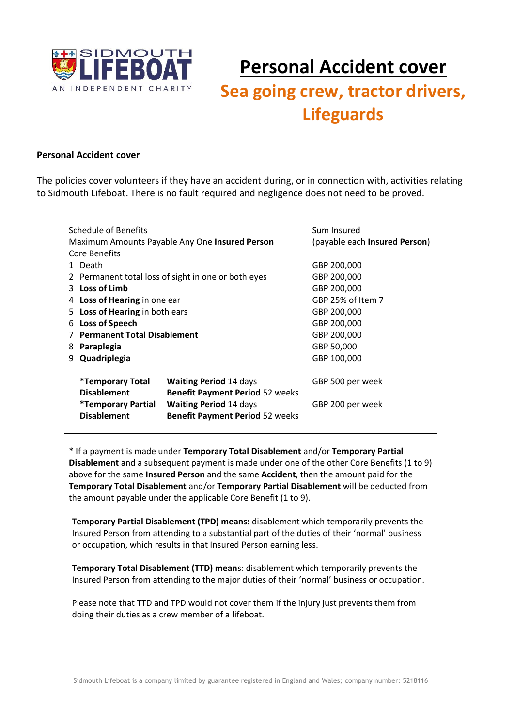

### **Personal Accident cover**

## Sea going crew, tractor drivers, **Lifeguards**

#### **Personal Accident cover**

The policies cover volunteers if they have an accident during, or in connection with, activities relating to Sidmouth Lifeboat. There is no fault required and negligence does not need to be proved.

| Schedule of Benefits                           |                                                                              |                                                                                                                   | Sum Insured                   |
|------------------------------------------------|------------------------------------------------------------------------------|-------------------------------------------------------------------------------------------------------------------|-------------------------------|
| Maximum Amounts Payable Any One Insured Person |                                                                              |                                                                                                                   | (payable each Insured Person) |
|                                                | Core Benefits                                                                |                                                                                                                   |                               |
|                                                | 1 Death                                                                      |                                                                                                                   | GBP 200,000                   |
|                                                |                                                                              | 2 Permanent total loss of sight in one or both eyes                                                               | GBP 200,000                   |
|                                                | 3 Loss of Limb                                                               |                                                                                                                   | GBP 200,000                   |
|                                                | 4 Loss of Hearing in one ear                                                 |                                                                                                                   | GBP 25% of Item 7             |
|                                                | 5 Loss of Hearing in both ears                                               |                                                                                                                   | GBP 200,000                   |
|                                                | 6 Loss of Speech                                                             |                                                                                                                   | GBP 200,000                   |
|                                                | 7 Permanent Total Disablement                                                | GBP 200,000                                                                                                       |                               |
|                                                | 8 Paraplegia                                                                 |                                                                                                                   | GBP 50,000                    |
|                                                | 9 Quadriplegia                                                               |                                                                                                                   | GBP 100,000                   |
|                                                | <i>*Temporary Total</i>                                                      | <b>Waiting Period 14 days</b>                                                                                     | GBP 500 per week              |
|                                                | <b>Disablement</b><br><i><b>*Temporary Partial</b></i><br><b>Disablement</b> | <b>Benefit Payment Period 52 weeks</b><br><b>Waiting Period 14 days</b><br><b>Benefit Payment Period 52 weeks</b> | GBP 200 per week              |
|                                                |                                                                              |                                                                                                                   |                               |

\* If a payment is made under Temporary Total Disablement and/or Temporary Partial Disablement and a subsequent payment is made under one of the other Core Benefits (1 to 9) above for the same Insured Person and the same Accident, then the amount paid for the Temporary Total Disablement and/or Temporary Partial Disablement will be deducted from the amount payable under the applicable Core Benefit (1 to 9).

Temporary Partial Disablement (TPD) means: disablement which temporarily prevents the Insured Person from attending to a substantial part of the duties of their 'normal' business or occupation, which results in that Insured Person earning less.

Temporary Total Disablement (TTD) means: disablement which temporarily prevents the Insured Person from attending to the major duties of their 'normal' business or occupation.

Please note that TTD and TPD would not cover them if the injury just prevents them from doing their duties as a crew member of a lifeboat.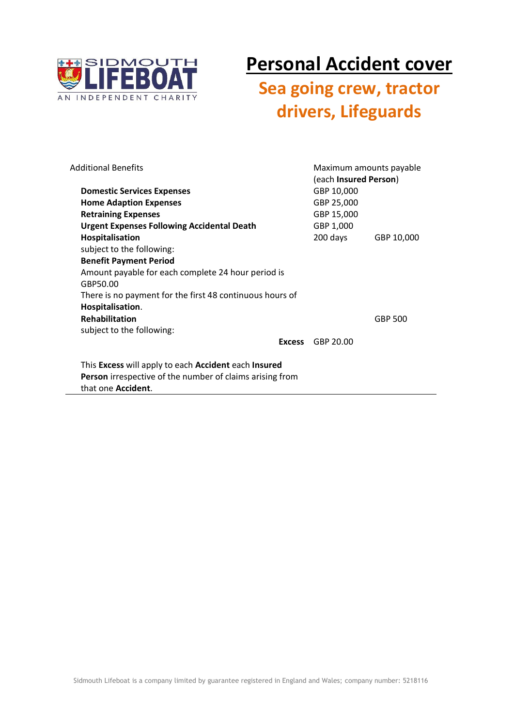

# **Personal Accident cover**

## Sea going crew, tractor drivers, Lifeguards

| <b>Additional Benefits</b>                                                             |               | Maximum amounts payable<br>(each Insured Person) |                |
|----------------------------------------------------------------------------------------|---------------|--------------------------------------------------|----------------|
| <b>Domestic Services Expenses</b>                                                      |               | GBP 10,000                                       |                |
| <b>Home Adaption Expenses</b>                                                          |               | GBP 25,000                                       |                |
| <b>Retraining Expenses</b>                                                             |               | GBP 15,000                                       |                |
| <b>Urgent Expenses Following Accidental Death</b>                                      |               | GBP 1,000                                        |                |
| Hospitalisation                                                                        |               | 200 days                                         | GBP 10,000     |
| subject to the following:                                                              |               |                                                  |                |
| <b>Benefit Payment Period</b>                                                          |               |                                                  |                |
| Amount payable for each complete 24 hour period is                                     |               |                                                  |                |
| GBP50.00                                                                               |               |                                                  |                |
| There is no payment for the first 48 continuous hours of                               |               |                                                  |                |
| Hospitalisation.                                                                       |               |                                                  |                |
| <b>Rehabilitation</b>                                                                  |               |                                                  | <b>GBP 500</b> |
| subject to the following:                                                              |               |                                                  |                |
|                                                                                        | <b>Excess</b> | GBP 20.00                                        |                |
| This Excess will apply to each Accident each Insured                                   |               |                                                  |                |
| Person irrespective of the number of claims arising from<br>that one <b>Accident</b> . |               |                                                  |                |